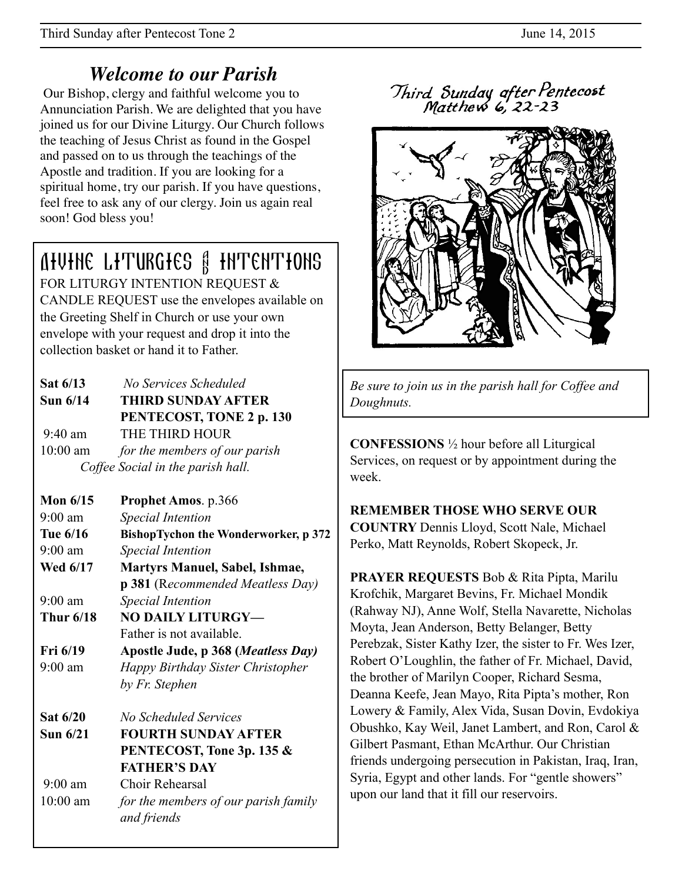## *Welcome to our Parish*

 Our Bishop, clergy and faithful welcome you to Annunciation Parish. We are delighted that you have joined us for our Divine Liturgy. Our Church follows the teaching of Jesus Christ as found in the Gospel and passed on to us through the teachings of the Apostle and tradition. If you are looking for a spiritual home, try our parish. If you have questions, feel free to ask any of our clergy. Join us again real soon! God bless you!

# Divine Liturgies & Intentions

FOR LITURGY INTENTION REQUEST & CANDLE REQUEST use the envelopes available on the Greeting Shelf in Church or use your own envelope with your request and drop it into the collection basket or hand it to Father.

| Sat 6/13                          | No Services Scheduled         |  |
|-----------------------------------|-------------------------------|--|
| <b>Sun 6/14</b>                   | <b>THIRD SUNDAY AFTER</b>     |  |
|                                   | PENTECOST, TONE 2 p. 130      |  |
| $9:40$ am                         | THE THIRD HOUR                |  |
| $10:00$ am                        | for the members of our parish |  |
| Coffee Social in the parish hall. |                               |  |

| Mon $6/15$        | <b>Prophet Amos.</b> p.366                  |  |  |
|-------------------|---------------------------------------------|--|--|
| $9:00 \text{ am}$ | <b>Special Intention</b>                    |  |  |
| Tue 6/16          | <b>BishopTychon the Wonderworker, p 372</b> |  |  |
| $9:00$ am         | <b>Special Intention</b>                    |  |  |
| <b>Wed 6/17</b>   | <b>Martyrs Manuel, Sabel, Ishmae,</b>       |  |  |
|                   | <b>p 381</b> (Recommended Meatless Day)     |  |  |
| $9:00 \text{ am}$ | <b>Special Intention</b>                    |  |  |
| <b>Thur 6/18</b>  | <b>NO DAILY LITURGY-</b>                    |  |  |
|                   | Father is not available.                    |  |  |
| Fri 6/19          | Apostle Jude, p 368 (Meatless Day)          |  |  |
| $9:00 \text{ am}$ | Happy Birthday Sister Christopher           |  |  |
|                   | by Fr. Stephen                              |  |  |
| <b>Sat 6/20</b>   | No Scheduled Services                       |  |  |
| Sun $6/21$        | <b>FOURTH SUNDAY AFTER</b>                  |  |  |
|                   | PENTECOST, Tone 3p. 135 &                   |  |  |
|                   | <b>FATHER'S DAY</b>                         |  |  |
| $9:00 \text{ am}$ | Choir Rehearsal                             |  |  |
| $10:00$ am        | for the members of our parish family        |  |  |
|                   | and friends                                 |  |  |

Third Sunday after Pentecost<br>Matthew 6, 22-23



*Be sure to join us in the parish hall for Coffee and Doughnuts.*

**CONFESSIONS** ½ hour before all Liturgical Services, on request or by appointment during the week.

**REMEMBER THOSE WHO SERVE OUR** 

**COUNTRY** Dennis Lloyd, Scott Nale, Michael Perko, Matt Reynolds, Robert Skopeck, Jr.

**PRAYER REQUESTS** Bob & Rita Pipta, Marilu Krofchik, Margaret Bevins, Fr. Michael Mondik (Rahway NJ), Anne Wolf, Stella Navarette, Nicholas Moyta, Jean Anderson, Betty Belanger, Betty Perebzak, Sister Kathy Izer, the sister to Fr. Wes Izer, Robert O'Loughlin, the father of Fr. Michael, David, the brother of Marilyn Cooper, Richard Sesma, Deanna Keefe, Jean Mayo, Rita Pipta's mother, Ron Lowery & Family, Alex Vida, Susan Dovin, Evdokiya Obushko, Kay Weil, Janet Lambert, and Ron, Carol & Gilbert Pasmant, Ethan McArthur. Our Christian friends undergoing persecution in Pakistan, Iraq, Iran, Syria, Egypt and other lands. For "gentle showers" upon our land that it fill our reservoirs.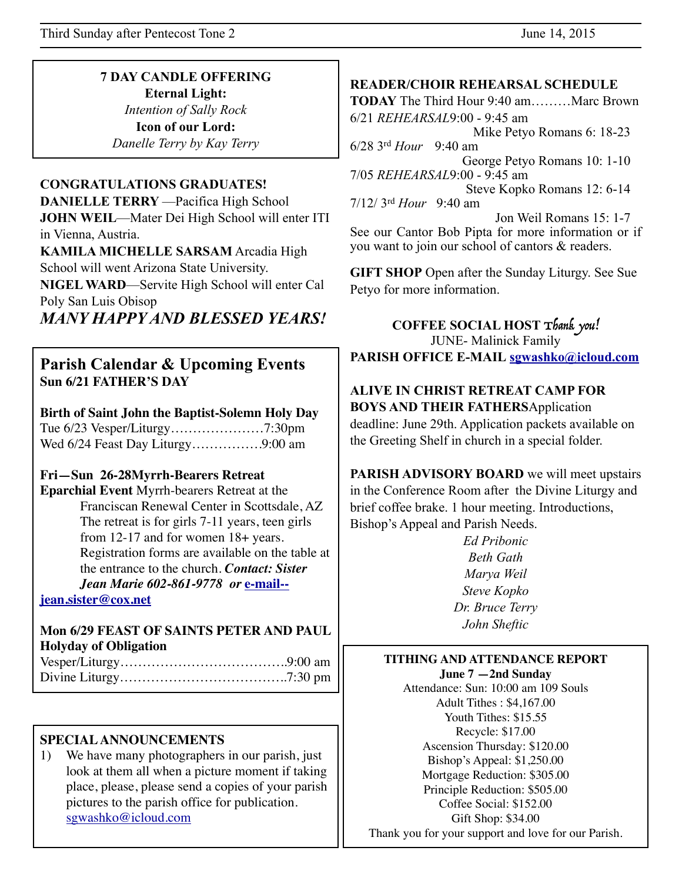Third Sunday after Pentecost Tone 2 June 14, 2015

#### **7 DAY CANDLE OFFERING Eternal Light:**

*Intention of Sally Rock*  **Icon of our Lord:**  *Danelle Terry by Kay Terry* 

#### **CONGRATULATIONS GRADUATES!**

**DANIELLE TERRY** —Pacifica High School **JOHN WEIL**—Mater Dei High School will enter ITI in Vienna, Austria. **KAMILA MICHELLE SARSAM** Arcadia High

School will went Arizona State University. **NIGEL WARD**—Servite High School will enter Cal Poly San Luis Obisop

*MANY HAPPY AND BLESSED YEARS!* 

## **Parish Calendar & Upcoming Events Sun 6/21 FATHER'S DAY**

**Birth of Saint John the Baptist-Solemn Holy Day**

Tue 6/23 Vesper/Liturgy…………………7:30pm Wed 6/24 Feast Day Liturgy…………….9:00 am

#### **Fri—Sun 26-28Myrrh-Bearers Retreat**

**Eparchial Event** Myrrh-bearers Retreat at the Franciscan Renewal Center in Scottsdale, AZ The retreat is for girls 7-11 years, teen girls from 12-17 and for women 18+ years. Registration forms are available on the table at the entrance to the church. *Contact: Sister [Jean Marie 602-861-9778 or](mailto:e-mail--jeansister@cox.net?subject=)* **e-mail--**

**jean.sister@cox.net**

#### **Mon 6/29 FEAST OF SAINTS PETER AND PAUL Holyday of Obligation**

#### **SPECIAL ANNOUNCEMENTS**

1) We have many photographers in our parish, just look at them all when a picture moment if taking place, please, please send a copies of your parish pictures to the parish office for publication. [sgwashko@icloud.com](mailto:sgwashko@icloud.com)

#### **READER/CHOIR REHEARSAL SCHEDULE**

**TODAY** The Third Hour 9:40 am………Marc Brown 6/21 *REHEARSAL*9:00 - 9:45 am Mike Petyo Romans 6: 18-23 6/28 3rd *Hour* 9:40 am George Petyo Romans 10: 1-10 7/05 *REHEARSAL* 9:00 - 9:45 am Steve Kopko Romans 12: 6-14 7/12/ 3rd *Hour* 9:40 am Jon Weil Romans 15: 1-7

See our Cantor Bob Pipta for more information or if you want to join our school of cantors & readers.

**GIFT SHOP** Open after the Sunday Liturgy. See Sue Petyo for more information.

**COFFEE SOCIAL HOST** Thank you! JUNE- Malinick Family **PARISH OFFICE E-MAIL [sgwashko@icloud.com](mailto:sgwashko@icloud.com)**

## **ALIVE IN CHRIST RETREAT CAMP FOR BOYS AND THEIR FATHERS**Application

deadline: June 29th. Application packets available on the Greeting Shelf in church in a special folder.

**PARISH ADVISORY BOARD** we will meet upstairs in the Conference Room after the Divine Liturgy and brief coffee brake. 1 hour meeting. Introductions, Bishop's Appeal and Parish Needs.

> *Ed Pribonic Beth Gath Marya Weil Steve Kopko Dr. Bruce Terry John Sheftic*

#### **TITHING AND ATTENDANCE REPORT**

**June 7 —2nd Sunday** Attendance: Sun: 10:00 am 109 Souls Adult Tithes : \$4,167.00 Youth Tithes: \$15.55 Recycle: \$17.00 Ascension Thursday: \$120.00 Bishop's Appeal: \$1,250.00 Mortgage Reduction: \$305.00 Principle Reduction: \$505.00 Coffee Social: \$152.00 Gift Shop: \$34.00 Thank you for your support and love for our Parish.